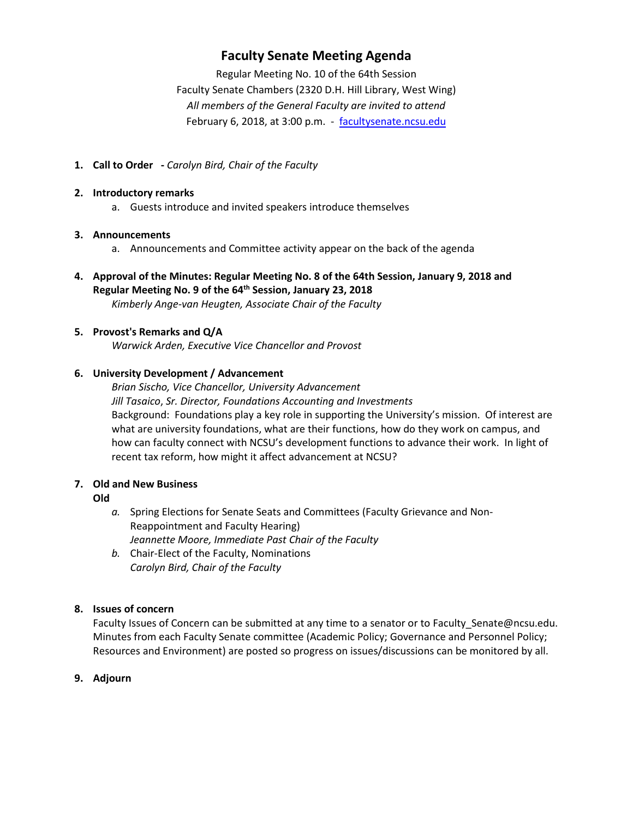## **Faculty Senate Meeting Agenda**

Regular Meeting No. 10 of the 64th Session Faculty Senate Chambers (2320 D.H. Hill Library, West Wing) *All members of the General Faculty are invited to attend* February 6, 2018, at 3:00 p.m. - [facultysenate.ncsu.edu](https://facultysenate.ncsu.edu/)

**1. Call to Order -** *Carolyn Bird, Chair of the Faculty*

#### **2. Introductory remarks**

a. Guests introduce and invited speakers introduce themselves

#### **3. Announcements**

- a. Announcements and Committee activity appear on the back of the agenda
- **4. Approval of the Minutes: Regular Meeting No. 8 of the 64th Session, January 9, 2018 and Regular Meeting No. 9 of the 64th Session, January 23, 2018** *Kimberly Ange-van Heugten, Associate Chair of the Faculty*

## **5. Provost's Remarks and Q/A**

*Warwick Arden, Executive Vice Chancellor and Provost*

## **6. University Development / Advancement**

*Brian Sischo, Vice Chancellor, University Advancement Jill Tasaico*, *Sr. Director, Foundations Accounting and Investments* Background: Foundations play a key role in supporting the University's mission. Of interest are what are university foundations, what are their functions, how do they work on campus, and how can faculty connect with NCSU's development functions to advance their work. In light of recent tax reform, how might it affect advancement at NCSU?

## **7. Old and New Business**

#### **Old**

- *a.* Spring Elections for Senate Seats and Committees (Faculty Grievance and Non-Reappointment and Faculty Hearing) *Jeannette Moore, Immediate Past Chair of the Faculty*
- *b.* Chair-Elect of the Faculty, Nominations *Carolyn Bird, Chair of the Faculty*

## **8. Issues of concern**

Faculty Issues of Concern can be submitted at any time to a senator or to Faculty\_Senate@ncsu.edu. Minutes from each Faculty Senate committee (Academic Policy; Governance and Personnel Policy; Resources and Environment) are posted so progress on issues/discussions can be monitored by all.

## **9. Adjourn**